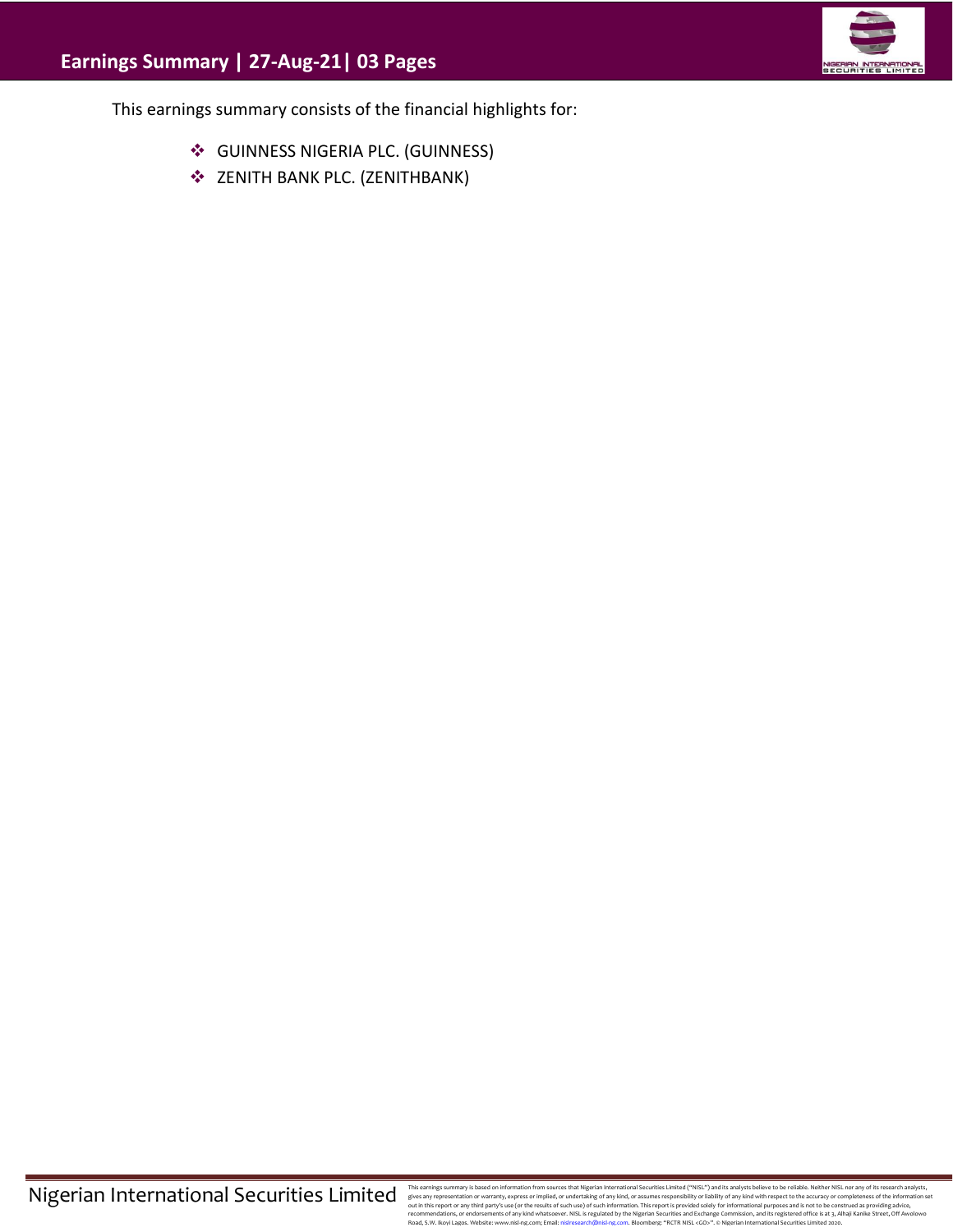

This earnings summary consists of the financial highlights for:

- ❖ GUINNESS NIGERIA PLC. (GUINNESS)
- ❖ ZENITH BANK PLC. (ZENITHBANK)

This earnings summary is based on information from sources that Migretian Interactional Securities Limitated ("WISL") and this analysts believe to be reliable. Neither NISL nor any of its research analysts, effects any exp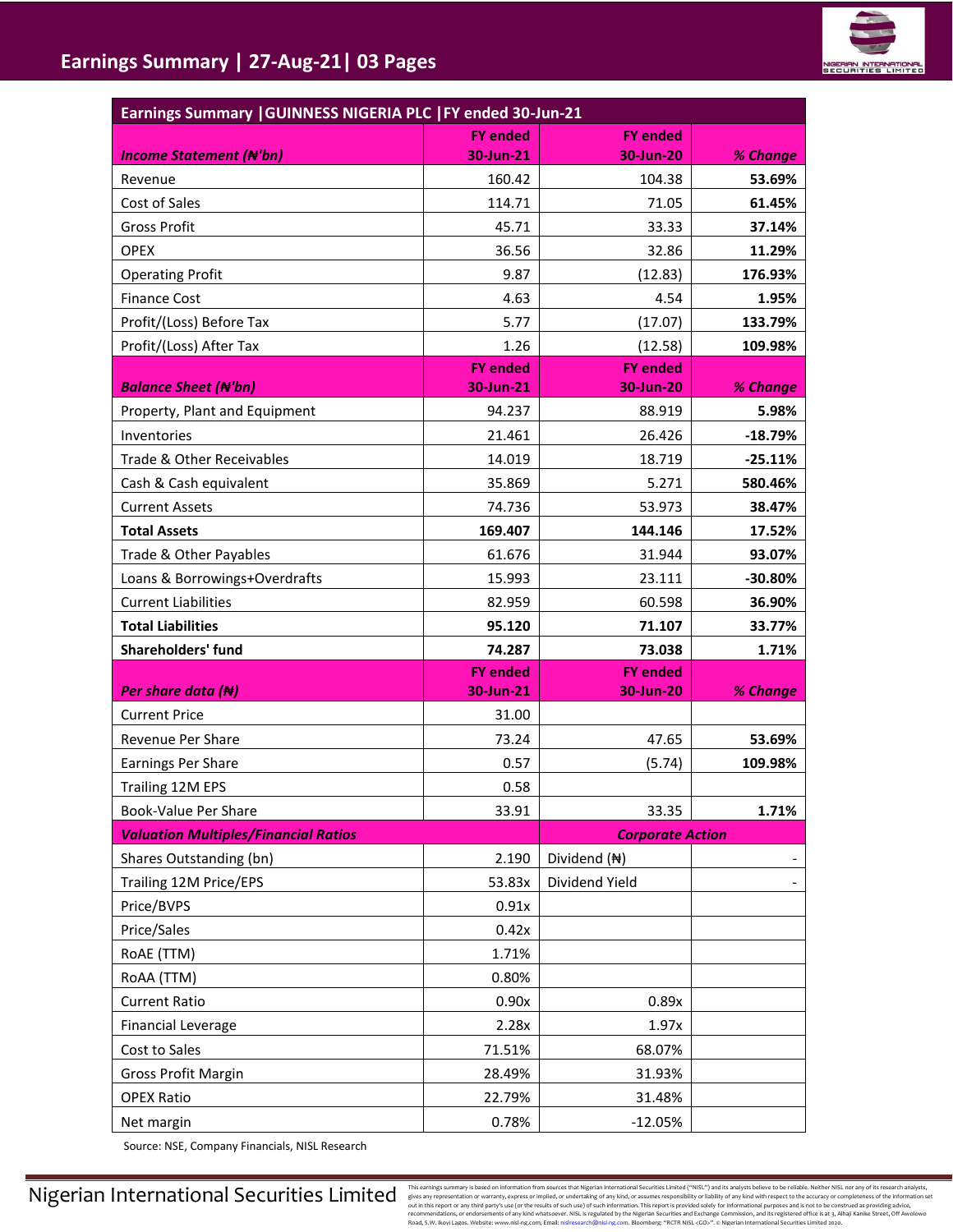

| <b>FY ended</b><br><b>FY ended</b><br>30-Jun-21<br>30-Jun-20<br><b>Income Statement (#'bn)</b><br>% Change<br>160.42<br>104.38<br>53.69%<br>Revenue<br>Cost of Sales<br>114.71<br>71.05<br>61.45%<br><b>Gross Profit</b><br>45.71<br>33.33<br>37.14%<br><b>OPEX</b><br>36.56<br>32.86<br>11.29%<br>9.87<br>(12.83)<br>176.93%<br><b>Operating Profit</b><br><b>Finance Cost</b><br>4.54<br>4.63<br>1.95%<br>Profit/(Loss) Before Tax<br>5.77<br>(17.07)<br>133.79%<br>Profit/(Loss) After Tax<br>1.26<br>(12.58)<br>109.98%<br><b>FY ended</b><br><b>FY ended</b><br><b>Balance Sheet (N'bn)</b><br>30-Jun-21<br>30-Jun-20<br>% Change<br>5.98%<br>Property, Plant and Equipment<br>94.237<br>88.919<br>21.461<br>Inventories<br>26.426<br>$-18.79%$<br>Trade & Other Receivables<br>14.019<br>18.719<br>$-25.11%$<br>35.869<br>580.46%<br>Cash & Cash equivalent<br>5.271<br><b>Current Assets</b><br>74.736<br>53.973<br>38.47%<br><b>Total Assets</b><br>169.407<br>144.146<br>17.52%<br>Trade & Other Payables<br>61.676<br>31.944<br>93.07%<br>Loans & Borrowings+Overdrafts<br>15.993<br>23.111<br>$-30.80%$<br><b>Current Liabilities</b><br>82.959<br>60.598<br>36.90%<br><b>Total Liabilities</b><br>95.120<br>71.107<br>33.77%<br><b>Shareholders' fund</b><br>74.287<br>73.038<br>1.71%<br><b>FY ended</b><br><b>FY ended</b><br>Per share data $(H)$<br>% Change<br>30-Jun-21<br>30-Jun-20<br><b>Current Price</b><br>31.00<br>Revenue Per Share<br>73.24<br>47.65<br>53.69%<br>Earnings Per Share<br>109.98%<br>0.57<br>(5.74)<br>Trailing 12M EPS<br>0.58<br>33.35<br>Book-Value Per Share<br>1.71%<br>33.91<br><b>Valuation Multiples/Financial Ratios</b><br><b>Corporate Action</b><br>Shares Outstanding (bn)<br>2.190<br>Dividend (N)<br>Trailing 12M Price/EPS<br>53.83x<br>Dividend Yield<br>Price/BVPS<br>0.91x<br>Price/Sales<br>0.42x<br>RoAE (TTM)<br>1.71%<br>RoAA (TTM)<br>0.80%<br><b>Current Ratio</b><br>0.90x<br>0.89x<br><b>Financial Leverage</b><br>2.28x<br>1.97x | Earnings Summary   GUINNESS NIGERIA PLC   FY ended 30-Jun-21 |  |  |  |  |  |  |
|------------------------------------------------------------------------------------------------------------------------------------------------------------------------------------------------------------------------------------------------------------------------------------------------------------------------------------------------------------------------------------------------------------------------------------------------------------------------------------------------------------------------------------------------------------------------------------------------------------------------------------------------------------------------------------------------------------------------------------------------------------------------------------------------------------------------------------------------------------------------------------------------------------------------------------------------------------------------------------------------------------------------------------------------------------------------------------------------------------------------------------------------------------------------------------------------------------------------------------------------------------------------------------------------------------------------------------------------------------------------------------------------------------------------------------------------------------------------------------------------------------------------------------------------------------------------------------------------------------------------------------------------------------------------------------------------------------------------------------------------------------------------------------------------------------------------------------------------------------------------------------------------------------------------------------------------------------------------------------------------------|--------------------------------------------------------------|--|--|--|--|--|--|
|                                                                                                                                                                                                                                                                                                                                                                                                                                                                                                                                                                                                                                                                                                                                                                                                                                                                                                                                                                                                                                                                                                                                                                                                                                                                                                                                                                                                                                                                                                                                                                                                                                                                                                                                                                                                                                                                                                                                                                                                      |                                                              |  |  |  |  |  |  |
|                                                                                                                                                                                                                                                                                                                                                                                                                                                                                                                                                                                                                                                                                                                                                                                                                                                                                                                                                                                                                                                                                                                                                                                                                                                                                                                                                                                                                                                                                                                                                                                                                                                                                                                                                                                                                                                                                                                                                                                                      |                                                              |  |  |  |  |  |  |
|                                                                                                                                                                                                                                                                                                                                                                                                                                                                                                                                                                                                                                                                                                                                                                                                                                                                                                                                                                                                                                                                                                                                                                                                                                                                                                                                                                                                                                                                                                                                                                                                                                                                                                                                                                                                                                                                                                                                                                                                      |                                                              |  |  |  |  |  |  |
|                                                                                                                                                                                                                                                                                                                                                                                                                                                                                                                                                                                                                                                                                                                                                                                                                                                                                                                                                                                                                                                                                                                                                                                                                                                                                                                                                                                                                                                                                                                                                                                                                                                                                                                                                                                                                                                                                                                                                                                                      |                                                              |  |  |  |  |  |  |
|                                                                                                                                                                                                                                                                                                                                                                                                                                                                                                                                                                                                                                                                                                                                                                                                                                                                                                                                                                                                                                                                                                                                                                                                                                                                                                                                                                                                                                                                                                                                                                                                                                                                                                                                                                                                                                                                                                                                                                                                      |                                                              |  |  |  |  |  |  |
|                                                                                                                                                                                                                                                                                                                                                                                                                                                                                                                                                                                                                                                                                                                                                                                                                                                                                                                                                                                                                                                                                                                                                                                                                                                                                                                                                                                                                                                                                                                                                                                                                                                                                                                                                                                                                                                                                                                                                                                                      |                                                              |  |  |  |  |  |  |
|                                                                                                                                                                                                                                                                                                                                                                                                                                                                                                                                                                                                                                                                                                                                                                                                                                                                                                                                                                                                                                                                                                                                                                                                                                                                                                                                                                                                                                                                                                                                                                                                                                                                                                                                                                                                                                                                                                                                                                                                      |                                                              |  |  |  |  |  |  |
|                                                                                                                                                                                                                                                                                                                                                                                                                                                                                                                                                                                                                                                                                                                                                                                                                                                                                                                                                                                                                                                                                                                                                                                                                                                                                                                                                                                                                                                                                                                                                                                                                                                                                                                                                                                                                                                                                                                                                                                                      |                                                              |  |  |  |  |  |  |
|                                                                                                                                                                                                                                                                                                                                                                                                                                                                                                                                                                                                                                                                                                                                                                                                                                                                                                                                                                                                                                                                                                                                                                                                                                                                                                                                                                                                                                                                                                                                                                                                                                                                                                                                                                                                                                                                                                                                                                                                      |                                                              |  |  |  |  |  |  |
|                                                                                                                                                                                                                                                                                                                                                                                                                                                                                                                                                                                                                                                                                                                                                                                                                                                                                                                                                                                                                                                                                                                                                                                                                                                                                                                                                                                                                                                                                                                                                                                                                                                                                                                                                                                                                                                                                                                                                                                                      |                                                              |  |  |  |  |  |  |
|                                                                                                                                                                                                                                                                                                                                                                                                                                                                                                                                                                                                                                                                                                                                                                                                                                                                                                                                                                                                                                                                                                                                                                                                                                                                                                                                                                                                                                                                                                                                                                                                                                                                                                                                                                                                                                                                                                                                                                                                      |                                                              |  |  |  |  |  |  |
|                                                                                                                                                                                                                                                                                                                                                                                                                                                                                                                                                                                                                                                                                                                                                                                                                                                                                                                                                                                                                                                                                                                                                                                                                                                                                                                                                                                                                                                                                                                                                                                                                                                                                                                                                                                                                                                                                                                                                                                                      |                                                              |  |  |  |  |  |  |
|                                                                                                                                                                                                                                                                                                                                                                                                                                                                                                                                                                                                                                                                                                                                                                                                                                                                                                                                                                                                                                                                                                                                                                                                                                                                                                                                                                                                                                                                                                                                                                                                                                                                                                                                                                                                                                                                                                                                                                                                      |                                                              |  |  |  |  |  |  |
|                                                                                                                                                                                                                                                                                                                                                                                                                                                                                                                                                                                                                                                                                                                                                                                                                                                                                                                                                                                                                                                                                                                                                                                                                                                                                                                                                                                                                                                                                                                                                                                                                                                                                                                                                                                                                                                                                                                                                                                                      |                                                              |  |  |  |  |  |  |
|                                                                                                                                                                                                                                                                                                                                                                                                                                                                                                                                                                                                                                                                                                                                                                                                                                                                                                                                                                                                                                                                                                                                                                                                                                                                                                                                                                                                                                                                                                                                                                                                                                                                                                                                                                                                                                                                                                                                                                                                      |                                                              |  |  |  |  |  |  |
|                                                                                                                                                                                                                                                                                                                                                                                                                                                                                                                                                                                                                                                                                                                                                                                                                                                                                                                                                                                                                                                                                                                                                                                                                                                                                                                                                                                                                                                                                                                                                                                                                                                                                                                                                                                                                                                                                                                                                                                                      |                                                              |  |  |  |  |  |  |
|                                                                                                                                                                                                                                                                                                                                                                                                                                                                                                                                                                                                                                                                                                                                                                                                                                                                                                                                                                                                                                                                                                                                                                                                                                                                                                                                                                                                                                                                                                                                                                                                                                                                                                                                                                                                                                                                                                                                                                                                      |                                                              |  |  |  |  |  |  |
|                                                                                                                                                                                                                                                                                                                                                                                                                                                                                                                                                                                                                                                                                                                                                                                                                                                                                                                                                                                                                                                                                                                                                                                                                                                                                                                                                                                                                                                                                                                                                                                                                                                                                                                                                                                                                                                                                                                                                                                                      |                                                              |  |  |  |  |  |  |
|                                                                                                                                                                                                                                                                                                                                                                                                                                                                                                                                                                                                                                                                                                                                                                                                                                                                                                                                                                                                                                                                                                                                                                                                                                                                                                                                                                                                                                                                                                                                                                                                                                                                                                                                                                                                                                                                                                                                                                                                      |                                                              |  |  |  |  |  |  |
|                                                                                                                                                                                                                                                                                                                                                                                                                                                                                                                                                                                                                                                                                                                                                                                                                                                                                                                                                                                                                                                                                                                                                                                                                                                                                                                                                                                                                                                                                                                                                                                                                                                                                                                                                                                                                                                                                                                                                                                                      |                                                              |  |  |  |  |  |  |
|                                                                                                                                                                                                                                                                                                                                                                                                                                                                                                                                                                                                                                                                                                                                                                                                                                                                                                                                                                                                                                                                                                                                                                                                                                                                                                                                                                                                                                                                                                                                                                                                                                                                                                                                                                                                                                                                                                                                                                                                      |                                                              |  |  |  |  |  |  |
|                                                                                                                                                                                                                                                                                                                                                                                                                                                                                                                                                                                                                                                                                                                                                                                                                                                                                                                                                                                                                                                                                                                                                                                                                                                                                                                                                                                                                                                                                                                                                                                                                                                                                                                                                                                                                                                                                                                                                                                                      |                                                              |  |  |  |  |  |  |
|                                                                                                                                                                                                                                                                                                                                                                                                                                                                                                                                                                                                                                                                                                                                                                                                                                                                                                                                                                                                                                                                                                                                                                                                                                                                                                                                                                                                                                                                                                                                                                                                                                                                                                                                                                                                                                                                                                                                                                                                      |                                                              |  |  |  |  |  |  |
|                                                                                                                                                                                                                                                                                                                                                                                                                                                                                                                                                                                                                                                                                                                                                                                                                                                                                                                                                                                                                                                                                                                                                                                                                                                                                                                                                                                                                                                                                                                                                                                                                                                                                                                                                                                                                                                                                                                                                                                                      |                                                              |  |  |  |  |  |  |
|                                                                                                                                                                                                                                                                                                                                                                                                                                                                                                                                                                                                                                                                                                                                                                                                                                                                                                                                                                                                                                                                                                                                                                                                                                                                                                                                                                                                                                                                                                                                                                                                                                                                                                                                                                                                                                                                                                                                                                                                      |                                                              |  |  |  |  |  |  |
|                                                                                                                                                                                                                                                                                                                                                                                                                                                                                                                                                                                                                                                                                                                                                                                                                                                                                                                                                                                                                                                                                                                                                                                                                                                                                                                                                                                                                                                                                                                                                                                                                                                                                                                                                                                                                                                                                                                                                                                                      |                                                              |  |  |  |  |  |  |
|                                                                                                                                                                                                                                                                                                                                                                                                                                                                                                                                                                                                                                                                                                                                                                                                                                                                                                                                                                                                                                                                                                                                                                                                                                                                                                                                                                                                                                                                                                                                                                                                                                                                                                                                                                                                                                                                                                                                                                                                      |                                                              |  |  |  |  |  |  |
|                                                                                                                                                                                                                                                                                                                                                                                                                                                                                                                                                                                                                                                                                                                                                                                                                                                                                                                                                                                                                                                                                                                                                                                                                                                                                                                                                                                                                                                                                                                                                                                                                                                                                                                                                                                                                                                                                                                                                                                                      |                                                              |  |  |  |  |  |  |
|                                                                                                                                                                                                                                                                                                                                                                                                                                                                                                                                                                                                                                                                                                                                                                                                                                                                                                                                                                                                                                                                                                                                                                                                                                                                                                                                                                                                                                                                                                                                                                                                                                                                                                                                                                                                                                                                                                                                                                                                      |                                                              |  |  |  |  |  |  |
|                                                                                                                                                                                                                                                                                                                                                                                                                                                                                                                                                                                                                                                                                                                                                                                                                                                                                                                                                                                                                                                                                                                                                                                                                                                                                                                                                                                                                                                                                                                                                                                                                                                                                                                                                                                                                                                                                                                                                                                                      |                                                              |  |  |  |  |  |  |
|                                                                                                                                                                                                                                                                                                                                                                                                                                                                                                                                                                                                                                                                                                                                                                                                                                                                                                                                                                                                                                                                                                                                                                                                                                                                                                                                                                                                                                                                                                                                                                                                                                                                                                                                                                                                                                                                                                                                                                                                      |                                                              |  |  |  |  |  |  |
|                                                                                                                                                                                                                                                                                                                                                                                                                                                                                                                                                                                                                                                                                                                                                                                                                                                                                                                                                                                                                                                                                                                                                                                                                                                                                                                                                                                                                                                                                                                                                                                                                                                                                                                                                                                                                                                                                                                                                                                                      |                                                              |  |  |  |  |  |  |
|                                                                                                                                                                                                                                                                                                                                                                                                                                                                                                                                                                                                                                                                                                                                                                                                                                                                                                                                                                                                                                                                                                                                                                                                                                                                                                                                                                                                                                                                                                                                                                                                                                                                                                                                                                                                                                                                                                                                                                                                      |                                                              |  |  |  |  |  |  |
|                                                                                                                                                                                                                                                                                                                                                                                                                                                                                                                                                                                                                                                                                                                                                                                                                                                                                                                                                                                                                                                                                                                                                                                                                                                                                                                                                                                                                                                                                                                                                                                                                                                                                                                                                                                                                                                                                                                                                                                                      |                                                              |  |  |  |  |  |  |
|                                                                                                                                                                                                                                                                                                                                                                                                                                                                                                                                                                                                                                                                                                                                                                                                                                                                                                                                                                                                                                                                                                                                                                                                                                                                                                                                                                                                                                                                                                                                                                                                                                                                                                                                                                                                                                                                                                                                                                                                      |                                                              |  |  |  |  |  |  |
|                                                                                                                                                                                                                                                                                                                                                                                                                                                                                                                                                                                                                                                                                                                                                                                                                                                                                                                                                                                                                                                                                                                                                                                                                                                                                                                                                                                                                                                                                                                                                                                                                                                                                                                                                                                                                                                                                                                                                                                                      |                                                              |  |  |  |  |  |  |
|                                                                                                                                                                                                                                                                                                                                                                                                                                                                                                                                                                                                                                                                                                                                                                                                                                                                                                                                                                                                                                                                                                                                                                                                                                                                                                                                                                                                                                                                                                                                                                                                                                                                                                                                                                                                                                                                                                                                                                                                      |                                                              |  |  |  |  |  |  |
|                                                                                                                                                                                                                                                                                                                                                                                                                                                                                                                                                                                                                                                                                                                                                                                                                                                                                                                                                                                                                                                                                                                                                                                                                                                                                                                                                                                                                                                                                                                                                                                                                                                                                                                                                                                                                                                                                                                                                                                                      |                                                              |  |  |  |  |  |  |
| Cost to Sales<br>71.51%<br>68.07%                                                                                                                                                                                                                                                                                                                                                                                                                                                                                                                                                                                                                                                                                                                                                                                                                                                                                                                                                                                                                                                                                                                                                                                                                                                                                                                                                                                                                                                                                                                                                                                                                                                                                                                                                                                                                                                                                                                                                                    |                                                              |  |  |  |  |  |  |
| <b>Gross Profit Margin</b><br>28.49%<br>31.93%                                                                                                                                                                                                                                                                                                                                                                                                                                                                                                                                                                                                                                                                                                                                                                                                                                                                                                                                                                                                                                                                                                                                                                                                                                                                                                                                                                                                                                                                                                                                                                                                                                                                                                                                                                                                                                                                                                                                                       |                                                              |  |  |  |  |  |  |
| <b>OPEX Ratio</b><br>22.79%<br>31.48%                                                                                                                                                                                                                                                                                                                                                                                                                                                                                                                                                                                                                                                                                                                                                                                                                                                                                                                                                                                                                                                                                                                                                                                                                                                                                                                                                                                                                                                                                                                                                                                                                                                                                                                                                                                                                                                                                                                                                                |                                                              |  |  |  |  |  |  |
| Net margin<br>0.78%<br>$-12.05%$                                                                                                                                                                                                                                                                                                                                                                                                                                                                                                                                                                                                                                                                                                                                                                                                                                                                                                                                                                                                                                                                                                                                                                                                                                                                                                                                                                                                                                                                                                                                                                                                                                                                                                                                                                                                                                                                                                                                                                     |                                                              |  |  |  |  |  |  |

Source: NSE, Company Financials, NISL Research

This earnings summary is based on information from sources that Migretian Interactional Securities Limitated ("WISL") and this analysts believe to be reliable. Neither NISL nor any of its research analysts, effects any exp